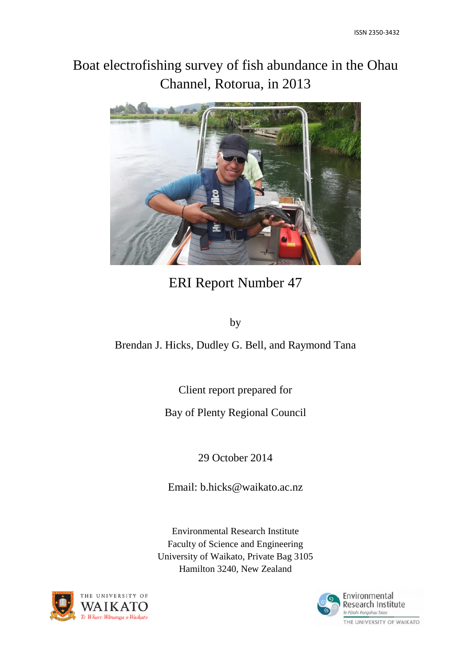# Boat electrofishing survey of fish abundance in the Ohau Channel, Rotorua, in 2013



# ERI Report Number 47

by

Brendan J. Hicks, Dudley G. Bell, and Raymond Tana

Client report prepared for

Bay of Plenty Regional Council

29 October 2014

Email: b.hicks@waikato.ac.nz

Environmental Research Institute Faculty of Science and Engineering University of Waikato, Private Bag 3105 Hamilton 3240, New Zealand





THE UNIVERSITY OF WAIKATO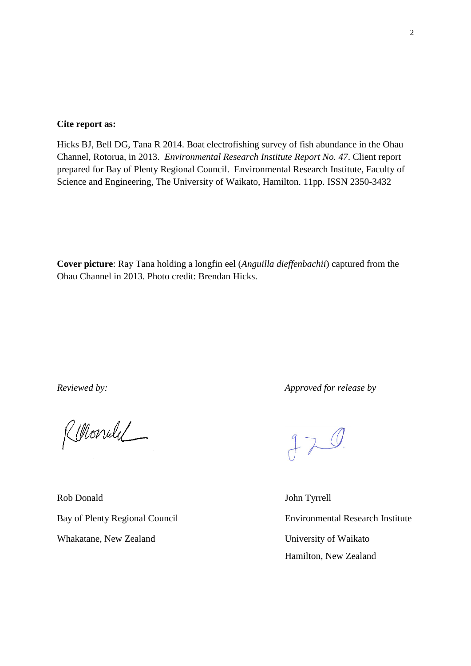#### **Cite report as:**

Hicks BJ, Bell DG, Tana R 2014. Boat electrofishing survey of fish abundance in the Ohau Channel, Rotorua, in 2013. *Environmental Research Institute Report No. 47*. Client report prepared for Bay of Plenty Regional Council. Environmental Research Institute, Faculty of Science and Engineering, The University of Waikato, Hamilton. 11pp. ISSN 2350-3432

**Cover picture**: Ray Tana holding a longfin eel (*Anguilla dieffenbachii*) captured from the Ohau Channel in 2013. Photo credit: Brendan Hicks.

Rellonuel

Rob Donald John Tyrrell Whakatane, New Zealand University of Waikato

*Reviewed by: Approved for release by*

 $770$ 

Bay of Plenty Regional Council Environmental Research Institute Hamilton, New Zealand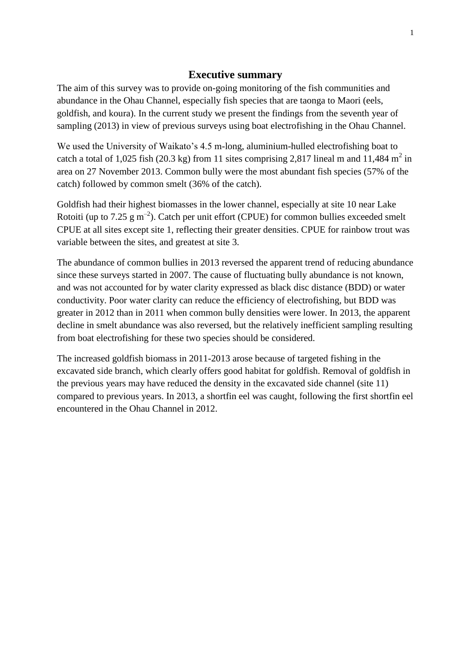#### **Executive summary**

<span id="page-2-0"></span>The aim of this survey was to provide on-going monitoring of the fish communities and abundance in the Ohau Channel, especially fish species that are taonga to Maori (eels, goldfish, and koura). In the current study we present the findings from the seventh year of sampling (2013) in view of previous surveys using boat electrofishing in the Ohau Channel.

We used the University of Waikato's 4.5 m-long, aluminium-hulled electrofishing boat to catch a total of 1,025 fish (20.3 kg) from 11 sites comprising 2,817 lineal m and 11,484 m<sup>2</sup> in area on 27 November 2013. Common bully were the most abundant fish species (57% of the catch) followed by common smelt (36% of the catch).

Goldfish had their highest biomasses in the lower channel, especially at site 10 near Lake Rotoiti (up to 7.25  $\rm g$  m<sup>-2</sup>). Catch per unit effort (CPUE) for common bullies exceeded smelt CPUE at all sites except site 1, reflecting their greater densities. CPUE for rainbow trout was variable between the sites, and greatest at site 3.

The abundance of common bullies in 2013 reversed the apparent trend of reducing abundance since these surveys started in 2007. The cause of fluctuating bully abundance is not known, and was not accounted for by water clarity expressed as black disc distance (BDD) or water conductivity. Poor water clarity can reduce the efficiency of electrofishing, but BDD was greater in 2012 than in 2011 when common bully densities were lower. In 2013, the apparent decline in smelt abundance was also reversed, but the relatively inefficient sampling resulting from boat electrofishing for these two species should be considered.

The increased goldfish biomass in 2011-2013 arose because of targeted fishing in the excavated side branch, which clearly offers good habitat for goldfish. Removal of goldfish in the previous years may have reduced the density in the excavated side channel (site 11) compared to previous years. In 2013, a shortfin eel was caught, following the first shortfin eel encountered in the Ohau Channel in 2012.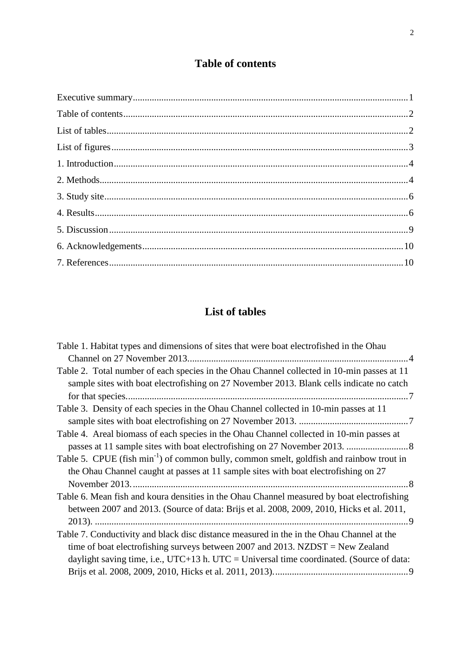## **Table of contents**

<span id="page-3-0"></span>

# **List of tables**

<span id="page-3-1"></span>

| Table 1. Habitat types and dimensions of sites that were boat electrofished in the Ohau              |
|------------------------------------------------------------------------------------------------------|
|                                                                                                      |
| Table 2. Total number of each species in the Ohau Channel collected in 10-min passes at 11           |
| sample sites with boat electrofishing on 27 November 2013. Blank cells indicate no catch             |
|                                                                                                      |
| Table 3. Density of each species in the Ohau Channel collected in 10-min passes at 11                |
|                                                                                                      |
| Table 4. Areal biomass of each species in the Ohau Channel collected in 10-min passes at             |
|                                                                                                      |
| Table 5. CPUE (fish min <sup>-1</sup> ) of common bully, common smelt, goldfish and rainbow trout in |
| the Ohau Channel caught at passes at 11 sample sites with boat electrofishing on 27                  |
|                                                                                                      |
| Table 6. Mean fish and koura densities in the Ohau Channel measured by boat electrofishing           |
| between 2007 and 2013. (Source of data: Brijs et al. 2008, 2009, 2010, Hicks et al. 2011,            |
|                                                                                                      |
| Table 7. Conductivity and black disc distance measured in the in the Ohau Channel at the             |
| time of boat electrofishing surveys between 2007 and 2013. NZDST = New Zealand                       |
| daylight saving time, i.e., $UTC+13$ h. $UTC = Universal$ time coordinated. (Source of data:         |
|                                                                                                      |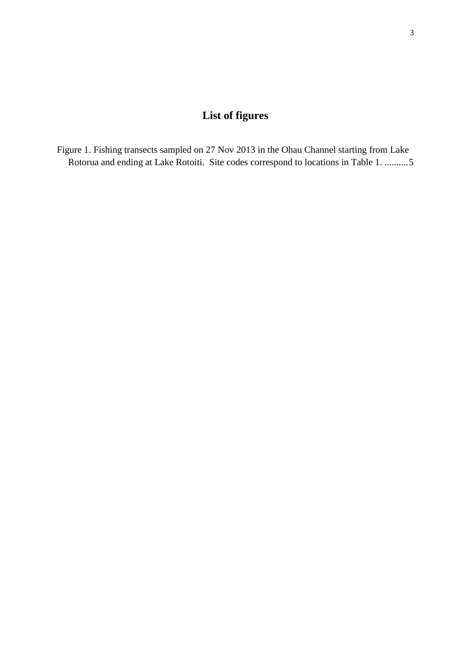# **List of figures**

<span id="page-4-0"></span>[Figure 1. Fishing transects sampled on 27 Nov 2013 in the Ohau Channel starting from Lake](#page-6-0)  [Rotorua and ending at Lake Rotoiti. Site codes correspond to locations in Table 1.](#page-6-0) ..........5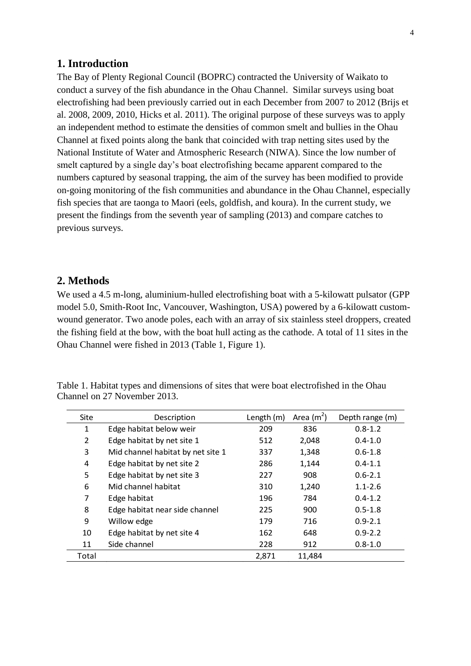### <span id="page-5-0"></span>**1. Introduction**

The Bay of Plenty Regional Council (BOPRC) contracted the University of Waikato to conduct a survey of the fish abundance in the Ohau Channel. Similar surveys using boat electrofishing had been previously carried out in each December from 2007 to 2012 (Brijs et al. 2008, 2009, 2010, Hicks et al. 2011). The original purpose of these surveys was to apply an independent method to estimate the densities of common smelt and bullies in the Ohau Channel at fixed points along the bank that coincided with trap netting sites used by the National Institute of Water and Atmospheric Research (NIWA). Since the low number of smelt captured by a single day's boat electrofishing became apparent compared to the numbers captured by seasonal trapping, the aim of the survey has been modified to provide on-going monitoring of the fish communities and abundance in the Ohau Channel, especially fish species that are taonga to Maori (eels, goldfish, and koura). In the current study, we present the findings from the seventh year of sampling (2013) and compare catches to previous surveys.

### <span id="page-5-1"></span>**2. Methods**

We used a 4.5 m-long, aluminium-hulled electrofishing boat with a 5-kilowatt pulsator (GPP) model 5.0, Smith-Root Inc, Vancouver, Washington, USA) powered by a 6-kilowatt customwound generator. Two anode poles, each with an array of six stainless steel droppers, created the fishing field at the bow, with the boat hull acting as the cathode. A total of 11 sites in the Ohau Channel were fished in 2013 (Table 1, Figure 1).

<span id="page-5-2"></span>

| Table 1. Habitat types and dimensions of sites that were boat electrofished in the Ohau |  |  |
|-----------------------------------------------------------------------------------------|--|--|
| Channel on 27 November 2013.                                                            |  |  |

| <b>Site</b>    | Description                       | Length (m) | Area $(m^2)$ | Depth range (m) |
|----------------|-----------------------------------|------------|--------------|-----------------|
| $\mathbf{1}$   | Edge habitat below weir           | 209        | 836          | $0.8 - 1.2$     |
| $\overline{2}$ | Edge habitat by net site 1        | 512        | 2,048        | $0.4 - 1.0$     |
| 3              | Mid channel habitat by net site 1 | 337        | 1,348        | $0.6 - 1.8$     |
| 4              | Edge habitat by net site 2        | 286        | 1,144        | $0.4 - 1.1$     |
| 5              | Edge habitat by net site 3        | 227        | 908          | $0.6 - 2.1$     |
| 6              | Mid channel habitat               | 310        | 1,240        | $1.1 - 2.6$     |
| 7              | Edge habitat                      | 196        | 784          | $0.4 - 1.2$     |
| 8              | Edge habitat near side channel    | 225        | 900          | $0.5 - 1.8$     |
| 9              | Willow edge                       | 179        | 716          | $0.9 - 2.1$     |
| 10             | Edge habitat by net site 4        | 162        | 648          | $0.9 - 2.2$     |
| 11             | Side channel                      | 228        | 912          | $0.8 - 1.0$     |
| Total          |                                   | 2,871      | 11,484       |                 |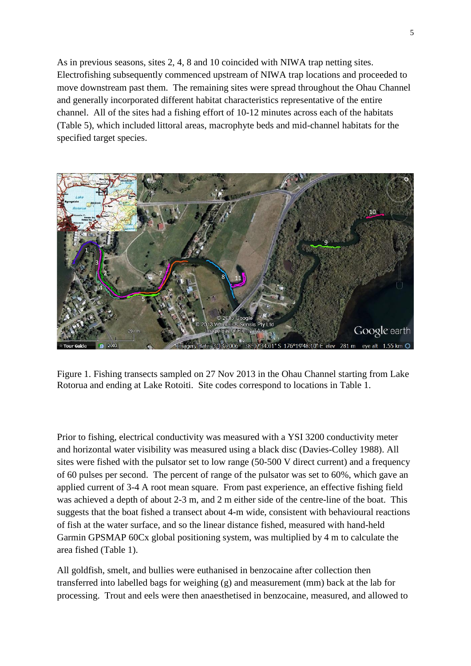As in previous seasons, sites 2, 4, 8 and 10 coincided with NIWA trap netting sites. Electrofishing subsequently commenced upstream of NIWA trap locations and proceeded to move downstream past them. The remaining sites were spread throughout the Ohau Channel and generally incorporated different habitat characteristics representative of the entire channel. All of the sites had a fishing effort of 10-12 minutes across each of the habitats (Table 5), which included littoral areas, macrophyte beds and mid-channel habitats for the specified target species.



<span id="page-6-0"></span>Figure 1. Fishing transects sampled on 27 Nov 2013 in the Ohau Channel starting from Lake Rotorua and ending at Lake Rotoiti. Site codes correspond to locations in Table 1.

Prior to fishing, electrical conductivity was measured with a YSI 3200 conductivity meter and horizontal water visibility was measured using a black disc (Davies-Colley 1988). All sites were fished with the pulsator set to low range (50-500 V direct current) and a frequency of 60 pulses per second. The percent of range of the pulsator was set to 60%, which gave an applied current of 3-4 A root mean square. From past experience, an effective fishing field was achieved a depth of about 2-3 m, and 2 m either side of the centre-line of the boat. This suggests that the boat fished a transect about 4-m wide, consistent with behavioural reactions of fish at the water surface, and so the linear distance fished, measured with hand-held Garmin GPSMAP 60Cx global positioning system, was multiplied by 4 m to calculate the area fished (Table 1).

All goldfish, smelt, and bullies were euthanised in benzocaine after collection then transferred into labelled bags for weighing (g) and measurement (mm) back at the lab for processing. Trout and eels were then anaesthetised in benzocaine, measured, and allowed to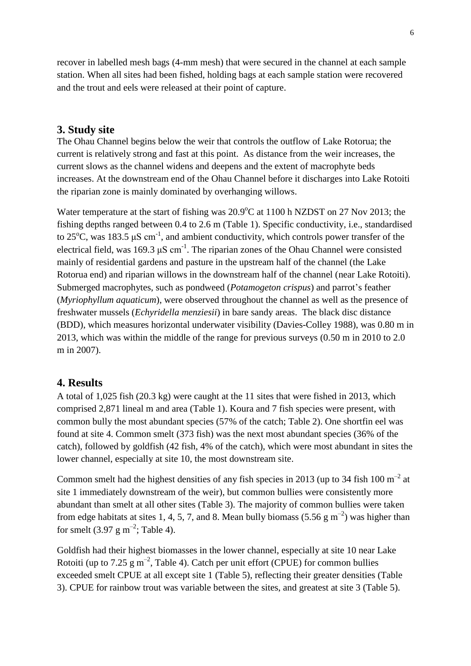recover in labelled mesh bags (4-mm mesh) that were secured in the channel at each sample station. When all sites had been fished, holding bags at each sample station were recovered and the trout and eels were released at their point of capture.

### <span id="page-7-0"></span>**3. Study site**

The Ohau Channel begins below the weir that controls the outflow of Lake Rotorua; the current is relatively strong and fast at this point. As distance from the weir increases, the current slows as the channel widens and deepens and the extent of macrophyte beds increases. At the downstream end of the Ohau Channel before it discharges into Lake Rotoiti the riparian zone is mainly dominated by overhanging willows.

Water temperature at the start of fishing was  $20.9^{\circ}$ C at 1100 h NZDST on 27 Nov 2013; the fishing depths ranged between 0.4 to 2.6 m (Table 1). Specific conductivity, i.e., standardised to 25<sup>o</sup>C, was 183.5  $\mu$ S cm<sup>-1</sup>, and ambient conductivity, which controls power transfer of the electrical field, was 169.3  $\mu$ S cm<sup>-1</sup>. The riparian zones of the Ohau Channel were consisted mainly of residential gardens and pasture in the upstream half of the channel (the Lake Rotorua end) and riparian willows in the downstream half of the channel (near Lake Rotoiti). Submerged macrophytes, such as pondweed (*Potamogeton crispus*) and parrot's feather (*Myriophyllum aquaticum*), were observed throughout the channel as well as the presence of freshwater mussels (*Echyridella menziesii*) in bare sandy areas. The black disc distance (BDD), which measures horizontal underwater visibility (Davies-Colley 1988), was 0.80 m in 2013, which was within the middle of the range for previous surveys (0.50 m in 2010 to 2.0 m in 2007).

#### <span id="page-7-1"></span>**4. Results**

A total of 1,025 fish (20.3 kg) were caught at the 11 sites that were fished in 2013, which comprised 2,871 lineal m and area (Table 1). Koura and 7 fish species were present, with common bully the most abundant species (57% of the catch; Table 2). One shortfin eel was found at site 4. Common smelt (373 fish) was the next most abundant species (36% of the catch), followed by goldfish (42 fish, 4% of the catch), which were most abundant in sites the lower channel, especially at site 10, the most downstream site.

Common smelt had the highest densities of any fish species in 2013 (up to 34 fish 100  $m^{-2}$  at site 1 immediately downstream of the weir), but common bullies were consistently more abundant than smelt at all other sites (Table 3). The majority of common bullies were taken from edge habitats at sites 1, 4, 5, 7, and 8. Mean bully biomass (5.56 g m<sup>-2</sup>) was higher than for smelt  $(3.97 \text{ g m}^{-2})$ ; Table 4).

Goldfish had their highest biomasses in the lower channel, especially at site 10 near Lake Rotoiti (up to 7.25  $\text{g m}^{-2}$ , Table 4). Catch per unit effort (CPUE) for common bullies exceeded smelt CPUE at all except site 1 (Table 5), reflecting their greater densities (Table 3). CPUE for rainbow trout was variable between the sites, and greatest at site 3 (Table 5).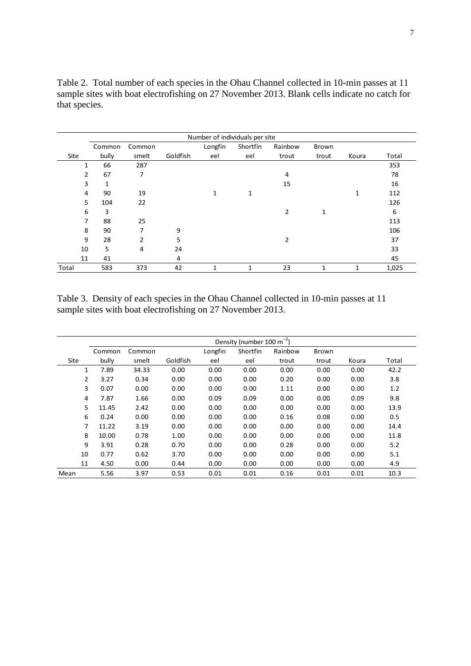<span id="page-8-0"></span>Table 2. Total number of each species in the Ohau Channel collected in 10-min passes at 11 sample sites with boat electrofishing on 27 November 2013. Blank cells indicate no catch for that species.

|       | Number of individuals per site |        |          |              |          |         |       |       |       |  |
|-------|--------------------------------|--------|----------|--------------|----------|---------|-------|-------|-------|--|
|       | Common                         | Common |          | Longfin      | Shortfin | Rainbow | Brown |       |       |  |
| Site  | bully                          | smelt  | Goldfish | eel          | eel      | trout   | trout | Koura | Total |  |
|       | 66<br>1                        | 287    |          |              |          |         |       |       | 353   |  |
|       | 67<br>2                        | 7      |          |              |          | 4       |       |       | 78    |  |
|       | 3<br>1                         |        |          |              |          | 15      |       |       | 16    |  |
| 4     | 90                             | 19     |          | 1            | 1        |         |       | 1     | 112   |  |
|       | 5<br>104                       | 22     |          |              |          |         |       |       | 126   |  |
| 6     | 3                              |        |          |              |          | 2       | 1     |       | 6     |  |
|       | 7<br>88                        | 25     |          |              |          |         |       |       | 113   |  |
| 8     | 90                             | 7      | 9        |              |          |         |       |       | 106   |  |
| 9     | 28                             | 2      | 5        |              |          | 2       |       |       | 37    |  |
| 10    | 5                              | 4      | 24       |              |          |         |       |       | 33    |  |
| 11    | 41                             |        | 4        |              |          |         |       |       | 45    |  |
| Total | 583                            | 373    | 42       | $\mathbf{1}$ | 1        | 23      | 1     | 1     | 1,025 |  |

<span id="page-8-1"></span>Table 3. Density of each species in the Ohau Channel collected in 10-min passes at 11 sample sites with boat electrofishing on 27 November 2013.

|      | Density (number 100 m <sup>-2</sup> ) |        |          |         |          |         |       |       |       |
|------|---------------------------------------|--------|----------|---------|----------|---------|-------|-------|-------|
|      | Common                                | Common |          | Longfin | Shortfin | Rainbow | Brown |       |       |
| Site | bully                                 | smelt  | Goldfish | eel     | eel      | trout   | trout | Koura | Total |
| 1    | 7.89                                  | 34.33  | 0.00     | 0.00    | 0.00     | 0.00    | 0.00  | 0.00  | 42.2  |
| 2    | 3.27                                  | 0.34   | 0.00     | 0.00    | 0.00     | 0.20    | 0.00  | 0.00  | 3.8   |
| 3    | 0.07                                  | 0.00   | 0.00     | 0.00    | 0.00     | 1.11    | 0.00  | 0.00  | 1.2   |
| 4    | 7.87                                  | 1.66   | 0.00     | 0.09    | 0.09     | 0.00    | 0.00  | 0.09  | 9.8   |
| 5    | 11.45                                 | 2.42   | 0.00     | 0.00    | 0.00     | 0.00    | 0.00  | 0.00  | 13.9  |
| 6    | 0.24                                  | 0.00   | 0.00     | 0.00    | 0.00     | 0.16    | 0.08  | 0.00  | 0.5   |
| 7    | 11.22                                 | 3.19   | 0.00     | 0.00    | 0.00     | 0.00    | 0.00  | 0.00  | 14.4  |
| 8    | 10.00                                 | 0.78   | 1.00     | 0.00    | 0.00     | 0.00    | 0.00  | 0.00  | 11.8  |
| 9    | 3.91                                  | 0.28   | 0.70     | 0.00    | 0.00     | 0.28    | 0.00  | 0.00  | 5.2   |
| 10   | 0.77                                  | 0.62   | 3.70     | 0.00    | 0.00     | 0.00    | 0.00  | 0.00  | 5.1   |
| 11   | 4.50                                  | 0.00   | 0.44     | 0.00    | 0.00     | 0.00    | 0.00  | 0.00  | 4.9   |
| Mean | 5.56                                  | 3.97   | 0.53     | 0.01    | 0.01     | 0.16    | 0.01  | 0.01  | 10.3  |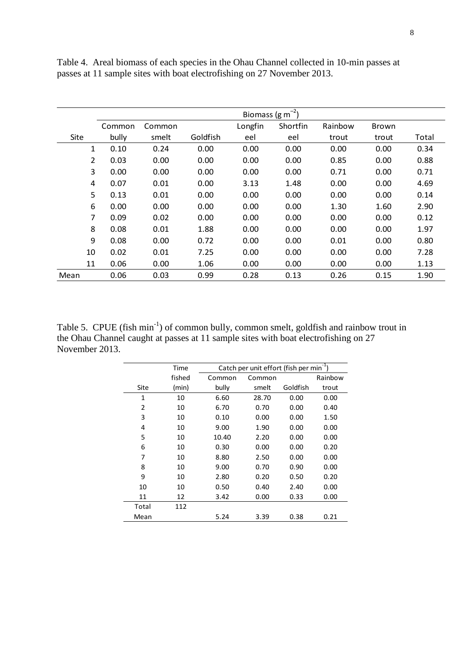|                | Biomass ( $\text{g m}^{-2}$ ) |        |          |         |          |         |       |       |
|----------------|-------------------------------|--------|----------|---------|----------|---------|-------|-------|
|                | Common                        | Common |          | Longfin | Shortfin | Rainbow | Brown |       |
| Site           | bully                         | smelt  | Goldfish | eel     | eel      | trout   | trout | Total |
| 1              | 0.10                          | 0.24   | 0.00     | 0.00    | 0.00     | 0.00    | 0.00  | 0.34  |
| $\overline{2}$ | 0.03                          | 0.00   | 0.00     | 0.00    | 0.00     | 0.85    | 0.00  | 0.88  |
| 3              | 0.00                          | 0.00   | 0.00     | 0.00    | 0.00     | 0.71    | 0.00  | 0.71  |
| 4              | 0.07                          | 0.01   | 0.00     | 3.13    | 1.48     | 0.00    | 0.00  | 4.69  |
| 5              | 0.13                          | 0.01   | 0.00     | 0.00    | 0.00     | 0.00    | 0.00  | 0.14  |
| 6              | 0.00                          | 0.00   | 0.00     | 0.00    | 0.00     | 1.30    | 1.60  | 2.90  |
| 7              | 0.09                          | 0.02   | 0.00     | 0.00    | 0.00     | 0.00    | 0.00  | 0.12  |
| 8              | 0.08                          | 0.01   | 1.88     | 0.00    | 0.00     | 0.00    | 0.00  | 1.97  |
| 9              | 0.08                          | 0.00   | 0.72     | 0.00    | 0.00     | 0.01    | 0.00  | 0.80  |
| 10             | 0.02                          | 0.01   | 7.25     | 0.00    | 0.00     | 0.00    | 0.00  | 7.28  |
| 11             | 0.06                          | 0.00   | 1.06     | 0.00    | 0.00     | 0.00    | 0.00  | 1.13  |
| Mean           | 0.06                          | 0.03   | 0.99     | 0.28    | 0.13     | 0.26    | 0.15  | 1.90  |

<span id="page-9-0"></span>Table 4. Areal biomass of each species in the Ohau Channel collected in 10-min passes at passes at 11 sample sites with boat electrofishing on 27 November 2013.

<span id="page-9-1"></span>Table 5. CPUE (fish min<sup>-1</sup>) of common bully, common smelt, goldfish and rainbow trout in the Ohau Channel caught at passes at 11 sample sites with boat electrofishing on 27 November 2013.

|              | Time   | Catch per unit effort (fish per min <sup>-1</sup> ) |        |          |         |  |  |  |
|--------------|--------|-----------------------------------------------------|--------|----------|---------|--|--|--|
|              | fished | Common                                              | Common |          | Rainbow |  |  |  |
| Site         | (min)  | bully                                               | smelt  | Goldfish | trout   |  |  |  |
| $\mathbf{1}$ | 10     | 6.60                                                | 28.70  | 0.00     | 0.00    |  |  |  |
| 2            | 10     | 6.70                                                | 0.70   | 0.00     | 0.40    |  |  |  |
| 3            | 10     | 0.10                                                | 0.00   | 0.00     | 1.50    |  |  |  |
| 4            | 10     | 9.00                                                | 1.90   | 0.00     | 0.00    |  |  |  |
| 5            | 10     | 10.40                                               | 2.20   | 0.00     | 0.00    |  |  |  |
| 6            | 10     | 0.30                                                | 0.00   | 0.00     | 0.20    |  |  |  |
| 7            | 10     | 8.80                                                | 2.50   | 0.00     | 0.00    |  |  |  |
| 8            | 10     | 9.00                                                | 0.70   | 0.90     | 0.00    |  |  |  |
| 9            | 10     | 2.80                                                | 0.20   | 0.50     | 0.20    |  |  |  |
| 10           | 10     | 0.50                                                | 0.40   | 2.40     | 0.00    |  |  |  |
| 11           | 12     | 3.42                                                | 0.00   | 0.33     | 0.00    |  |  |  |
| Total        | 112    |                                                     |        |          |         |  |  |  |
| Mean         |        | 5.24                                                | 3.39   | 0.38     | 0.21    |  |  |  |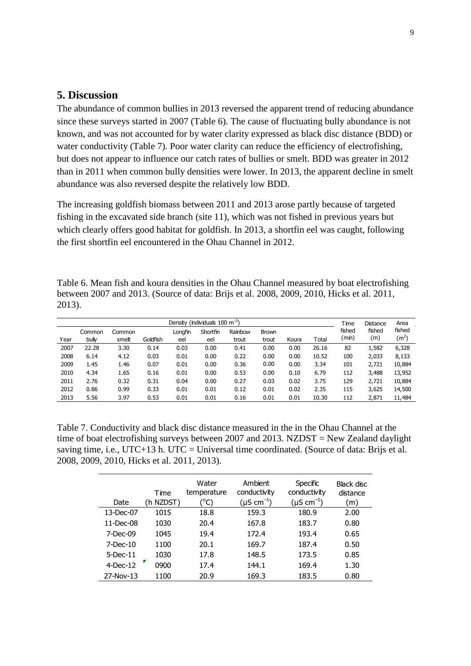## <span id="page-10-0"></span>**5. Discussion**

The abundance of common bullies in 2013 reversed the apparent trend of reducing abundance since these surveys started in 2007 (Table 6). The cause of fluctuating bully abundance is not known, and was not accounted for by water clarity expressed as black disc distance (BDD) or water conductivity (Table 7). Poor water clarity can reduce the efficiency of electrofishing, but does not appear to influence our catch rates of bullies or smelt. BDD was greater in 2012 than in 2011 when common bully densities were lower. In 2013, the apparent decline in smelt abundance was also reversed despite the relatively low BDD.

The increasing goldfish biomass between 2011 and 2013 arose partly because of targeted fishing in the excavated side branch (site 11), which was not fished in previous years but which clearly offers good habitat for goldfish. In 2013, a shortfin eel was caught, following the first shortfin eel encountered in the Ohau Channel in 2012.

<span id="page-10-1"></span>Table 6. Mean fish and koura densities in the Ohau Channel measured by boat electrofishing between 2007 and 2013. (Source of data: Brijs et al. 2008, 2009, 2010, Hicks et al. 2011, 2013).  $D$ ensity (individuals  $100 \text{ m}^2$ ) Time

| Density (individuals $100 \text{ m}^{-2}$ ) |                 |                 |          |                |                 |                  |                       | Time  | <b>Distance</b> | Area            |               |                             |
|---------------------------------------------|-----------------|-----------------|----------|----------------|-----------------|------------------|-----------------------|-------|-----------------|-----------------|---------------|-----------------------------|
| Year                                        | Common<br>bully | Common<br>smett | Goldfish | Longfin<br>eel | Shortfin<br>eel | Rainbow<br>trout | <b>Brown</b><br>trout | Koura | Total           | fished<br>(min) | fished<br>(m) | fished<br>(m <sup>2</sup> ) |
| 2007                                        | 22.28           | 3.30            | 0.14     | 0.03           | 0.00            | 0.41             | 0.00                  | 0.00  | 26.16           | 82              | 1,582         | 6,328                       |
| 2008                                        | 6.14            | 4.12            | 0.03     | 0.01           | 0.00            | 0.22             | 0.00                  | 0.00  | 10.52           | 100             | 2,033         | 8,133                       |
| 2009                                        | 1.45            | 1.46            | 0.07     | 0.01           | 0.00            | 0.36             | 0.00                  | 0.00  | 3.34            | 101             | 2,721         | 10,884                      |
| 2010                                        | 4.34            | 1.65            | 0.16     | 0.01           | 0.00            | 0.53             | 0.00                  | 0.10  | 6.79            | 112             | 3,488         | 13,952                      |
| 2011                                        | 2.76            | 0.32            | 0.31     | 0.04           | 0.00            | 0.27             | 0.03                  | 0.02  | 3.75            | 129             | 2,721         | 10,884                      |
| 2012                                        | 0.86            | 0.99            | 0.33     | 0.01           | 0.01            | 0.12             | 0.01                  | 0.02  | 2.35            | 115             | 3,625         | 14,500                      |
| 2013                                        | 5.56            | 3.97            | 0.53     | 0.01           | 0.01            | 0.16             | 0.01                  | 0.01  | 10.30           | 112             | 2,871         | 11,484                      |

<span id="page-10-2"></span>Table 7. Conductivity and black disc distance measured in the in the Ohau Channel at the time of boat electrofishing surveys between 2007 and 2013. NZDST = New Zealand daylight saving time, i.e.,  $UTC+13$  h.  $UTC = Universal$  time coordinated. (Source of data: Brijs et al.) 2008, 2009, 2010, Hicks et al. 2011, 2013).

| Date         | Time<br>(h NZDST) | Water<br>temperature<br>(°C) | Ambient<br>conductivity<br>$(\mu S \text{ cm}^{-1})$ | Specific<br>conductivity<br>$(\mu S \text{ cm}^{-1})$ | Black disc<br>distance<br>(m) |
|--------------|-------------------|------------------------------|------------------------------------------------------|-------------------------------------------------------|-------------------------------|
| 13-Dec-07    | 1015              | 18.8                         | 159.3                                                | 180.9                                                 | 2.00                          |
| $11$ -Dec-08 | 1030              | 20.4                         | 167.8                                                | 183.7                                                 | 0.80                          |
| $7$ -Dec-09  | 1045              | 19.4                         | 172.4                                                | 193.4                                                 | 0.65                          |
| $7-Dec-10$   | 1100              | 20.1                         | 169.7                                                | 187.4                                                 | 0.50                          |
| $5$ -Dec-11  | 1030              | 17.8                         | 148.5                                                | 173.5                                                 | 0.85                          |
| $4$ -Dec-12  | 0900              | 17.4                         | 144.1                                                | 169.4                                                 | 1.30                          |
| 27-Nov-13    | 1100              | 20.9                         | 169.3                                                | 183.5                                                 | 0.80                          |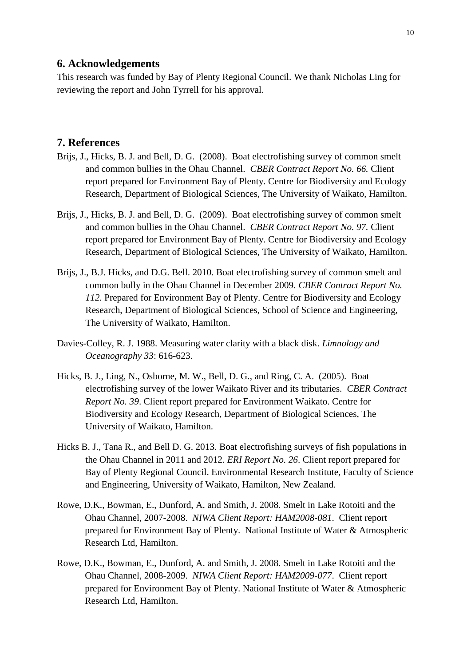#### <span id="page-11-0"></span>**6. Acknowledgements**

This research was funded by Bay of Plenty Regional Council. We thank Nicholas Ling for reviewing the report and John Tyrrell for his approval.

## <span id="page-11-1"></span>**7. References**

- Brijs, J., Hicks, B. J. and Bell, D. G. (2008). Boat electrofishing survey of common smelt and common bullies in the Ohau Channel. *CBER Contract Report No. 66.* Client report prepared for Environment Bay of Plenty. Centre for Biodiversity and Ecology Research, Department of Biological Sciences, The University of Waikato, Hamilton.
- Brijs, J., Hicks, B. J. and Bell, D. G. (2009). Boat electrofishing survey of common smelt and common bullies in the Ohau Channel. *CBER Contract Report No. 97.* Client report prepared for Environment Bay of Plenty. Centre for Biodiversity and Ecology Research, Department of Biological Sciences, The University of Waikato, Hamilton.
- Brijs, J., B.J. Hicks, and D.G. Bell. 2010. Boat electrofishing survey of common smelt and common bully in the Ohau Channel in December 2009. *CBER Contract Report No. 112.* Prepared for Environment Bay of Plenty. Centre for Biodiversity and Ecology Research, Department of Biological Sciences, School of Science and Engineering, The University of Waikato, Hamilton.
- Davies-Colley, R. J. 1988. Measuring water clarity with a black disk. *Limnology and Oceanography 33*: 616-623.
- Hicks, B. J., Ling, N., Osborne, M. W., Bell, D. G., and Ring, C. A. (2005). Boat electrofishing survey of the lower Waikato River and its tributaries. *CBER Contract Report No. 39*. Client report prepared for Environment Waikato. Centre for Biodiversity and Ecology Research, Department of Biological Sciences, The University of Waikato, Hamilton.
- Hicks B. J., Tana R., and Bell D. G. 2013. Boat electrofishing surveys of fish populations in the Ohau Channel in 2011 and 2012. *ERI Report No. 26*. Client report prepared for Bay of Plenty Regional Council. Environmental Research Institute, Faculty of Science and Engineering, University of Waikato, Hamilton, New Zealand.
- Rowe, D.K., Bowman, E., Dunford, A. and Smith, J. 2008. Smelt in Lake Rotoiti and the Ohau Channel, 2007-2008. *NIWA Client Report: HAM2008-081*. Client report prepared for Environment Bay of Plenty. National Institute of Water & Atmospheric Research Ltd, Hamilton.
- Rowe, D.K., Bowman, E., Dunford, A. and Smith, J. 2008. Smelt in Lake Rotoiti and the Ohau Channel, 2008-2009. *NIWA Client Report: HAM2009-077*. Client report prepared for Environment Bay of Plenty. National Institute of Water & Atmospheric Research Ltd, Hamilton.